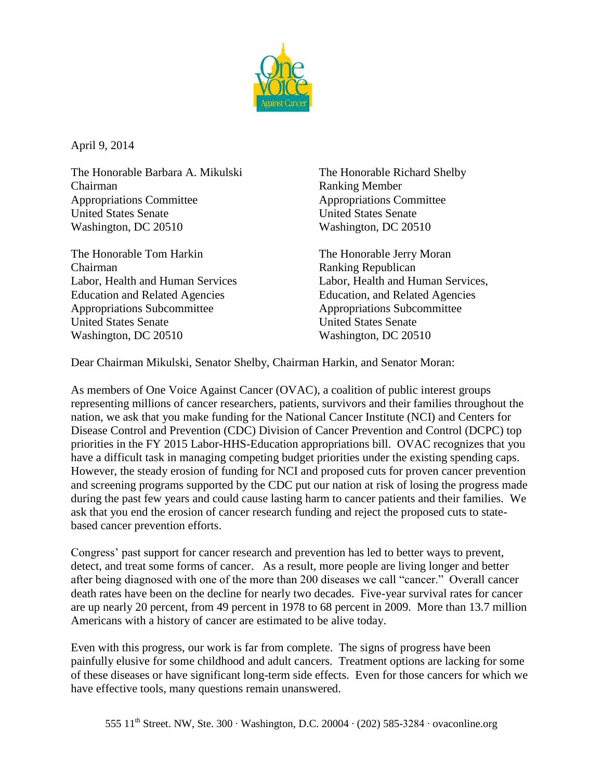

April 9, 2014

The Honorable Barbara A. Mikulski The Honorable Richard Shelby Chairman Ranking Member Appropriations Committee Appropriations Committee United States Senate United States Senate Washington, DC 20510 Washington, DC 20510

The Honorable Tom Harkin The Honorable Jerry Moran Chairman Ranking Republican Education and Related Agencies Education, and Related Agencies Appropriations Subcommittee Appropriations Subcommittee United States Senate United States Senate Washington, DC 20510 Washington, DC 20510

Labor, Health and Human Services Labor, Health and Human Services,

Dear Chairman Mikulski, Senator Shelby, Chairman Harkin, and Senator Moran:

As members of One Voice Against Cancer (OVAC), a coalition of public interest groups representing millions of cancer researchers, patients, survivors and their families throughout the nation, we ask that you make funding for the National Cancer Institute (NCI) and Centers for Disease Control and Prevention (CDC) Division of Cancer Prevention and Control (DCPC) top priorities in the FY 2015 Labor-HHS-Education appropriations bill. OVAC recognizes that you have a difficult task in managing competing budget priorities under the existing spending caps. However, the steady erosion of funding for NCI and proposed cuts for proven cancer prevention and screening programs supported by the CDC put our nation at risk of losing the progress made during the past few years and could cause lasting harm to cancer patients and their families. We ask that you end the erosion of cancer research funding and reject the proposed cuts to statebased cancer prevention efforts.

Congress' past support for cancer research and prevention has led to better ways to prevent, detect, and treat some forms of cancer. As a result, more people are living longer and better after being diagnosed with one of the more than 200 diseases we call "cancer." Overall cancer death rates have been on the decline for nearly two decades. Five-year survival rates for cancer are up nearly 20 percent, from 49 percent in 1978 to 68 percent in 2009. More than 13.7 million Americans with a history of cancer are estimated to be alive today.

Even with this progress, our work is far from complete. The signs of progress have been painfully elusive for some childhood and adult cancers. Treatment options are lacking for some of these diseases or have significant long-term side effects. Even for those cancers for which we have effective tools, many questions remain unanswered.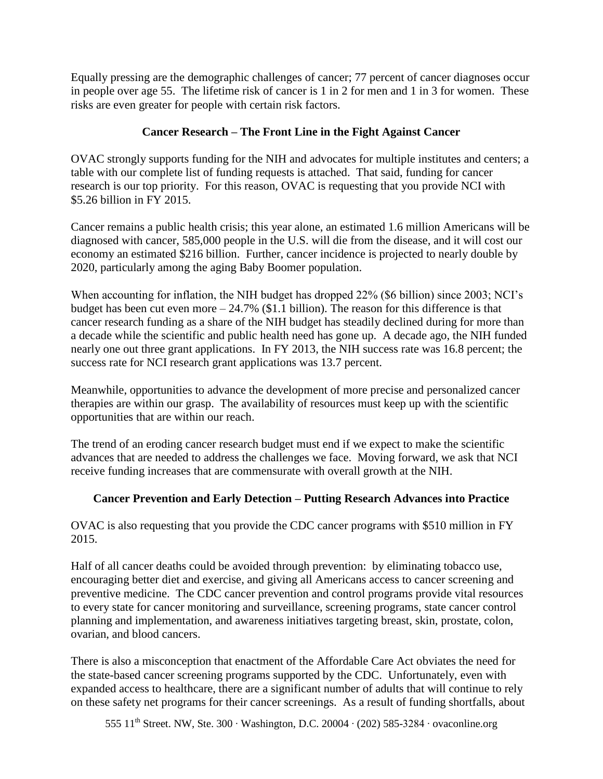Equally pressing are the demographic challenges of cancer; 77 percent of cancer diagnoses occur in people over age 55. The lifetime risk of cancer is 1 in 2 for men and 1 in 3 for women. These risks are even greater for people with certain risk factors.

## **Cancer Research – The Front Line in the Fight Against Cancer**

OVAC strongly supports funding for the NIH and advocates for multiple institutes and centers; a table with our complete list of funding requests is attached. That said, funding for cancer research is our top priority. For this reason, OVAC is requesting that you provide NCI with \$5.26 billion in FY 2015.

Cancer remains a public health crisis; this year alone, an estimated 1.6 million Americans will be diagnosed with cancer, 585,000 people in the U.S. will die from the disease, and it will cost our economy an estimated \$216 billion. Further, cancer incidence is projected to nearly double by 2020, particularly among the aging Baby Boomer population.

When accounting for inflation, the NIH budget has dropped 22% (\$6 billion) since 2003; NCI's budget has been cut even more  $-24.7\%$  (\$1.1 billion). The reason for this difference is that cancer research funding as a share of the NIH budget has steadily declined during for more than a decade while the scientific and public health need has gone up. A decade ago, the NIH funded nearly one out three grant applications. In FY 2013, the NIH success rate was 16.8 percent; the success rate for NCI research grant applications was 13.7 percent.

Meanwhile, opportunities to advance the development of more precise and personalized cancer therapies are within our grasp. The availability of resources must keep up with the scientific opportunities that are within our reach.

The trend of an eroding cancer research budget must end if we expect to make the scientific advances that are needed to address the challenges we face. Moving forward, we ask that NCI receive funding increases that are commensurate with overall growth at the NIH.

## **Cancer Prevention and Early Detection – Putting Research Advances into Practice**

OVAC is also requesting that you provide the CDC cancer programs with \$510 million in FY 2015.

Half of all cancer deaths could be avoided through prevention: by eliminating tobacco use, encouraging better diet and exercise, and giving all Americans access to cancer screening and preventive medicine. The CDC cancer prevention and control programs provide vital resources to every state for cancer monitoring and surveillance, screening programs, state cancer control planning and implementation, and awareness initiatives targeting breast, skin, prostate, colon, ovarian, and blood cancers.

There is also a misconception that enactment of the Affordable Care Act obviates the need for the state-based cancer screening programs supported by the CDC. Unfortunately, even with expanded access to healthcare, there are a significant number of adults that will continue to rely on these safety net programs for their cancer screenings. As a result of funding shortfalls, about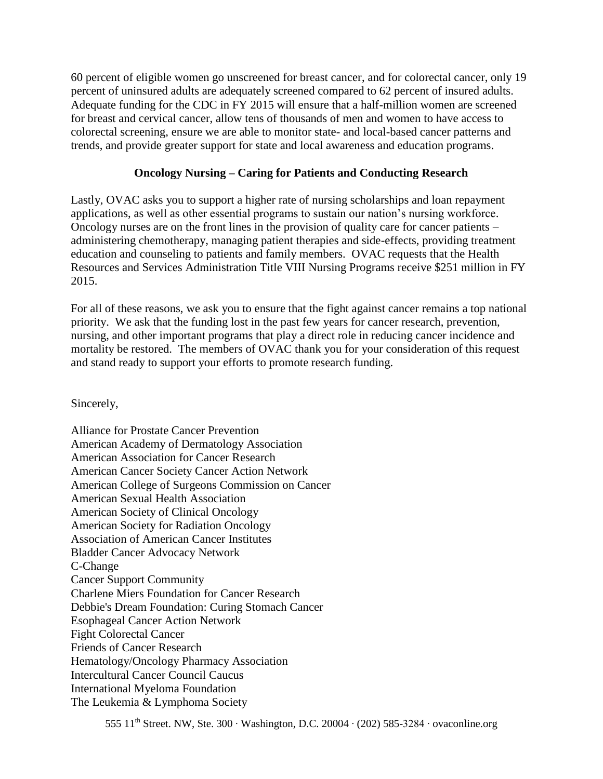60 percent of eligible women go unscreened for breast cancer, and for colorectal cancer, only 19 percent of uninsured adults are adequately screened compared to 62 percent of insured adults. Adequate funding for the CDC in FY 2015 will ensure that a half-million women are screened for breast and cervical cancer, allow tens of thousands of men and women to have access to colorectal screening, ensure we are able to monitor state- and local-based cancer patterns and trends, and provide greater support for state and local awareness and education programs.

## **Oncology Nursing – Caring for Patients and Conducting Research**

Lastly, OVAC asks you to support a higher rate of nursing scholarships and loan repayment applications, as well as other essential programs to sustain our nation's nursing workforce. Oncology nurses are on the front lines in the provision of quality care for cancer patients – administering chemotherapy, managing patient therapies and side-effects, providing treatment education and counseling to patients and family members. OVAC requests that the Health Resources and Services Administration Title VIII Nursing Programs receive \$251 million in FY 2015.

For all of these reasons, we ask you to ensure that the fight against cancer remains a top national priority. We ask that the funding lost in the past few years for cancer research, prevention, nursing, and other important programs that play a direct role in reducing cancer incidence and mortality be restored. The members of OVAC thank you for your consideration of this request and stand ready to support your efforts to promote research funding.

Sincerely,

Alliance for Prostate Cancer Prevention American Academy of Dermatology Association American Association for Cancer Research American Cancer Society Cancer Action Network American College of Surgeons Commission on Cancer American Sexual Health Association American Society of Clinical Oncology American Society for Radiation Oncology Association of American Cancer Institutes Bladder Cancer Advocacy Network C-Change Cancer Support Community Charlene Miers Foundation for Cancer Research Debbie's Dream Foundation: Curing Stomach Cancer Esophageal Cancer Action Network Fight Colorectal Cancer Friends of Cancer Research Hematology/Oncology Pharmacy Association Intercultural Cancer Council Caucus International Myeloma Foundation The Leukemia & Lymphoma Society